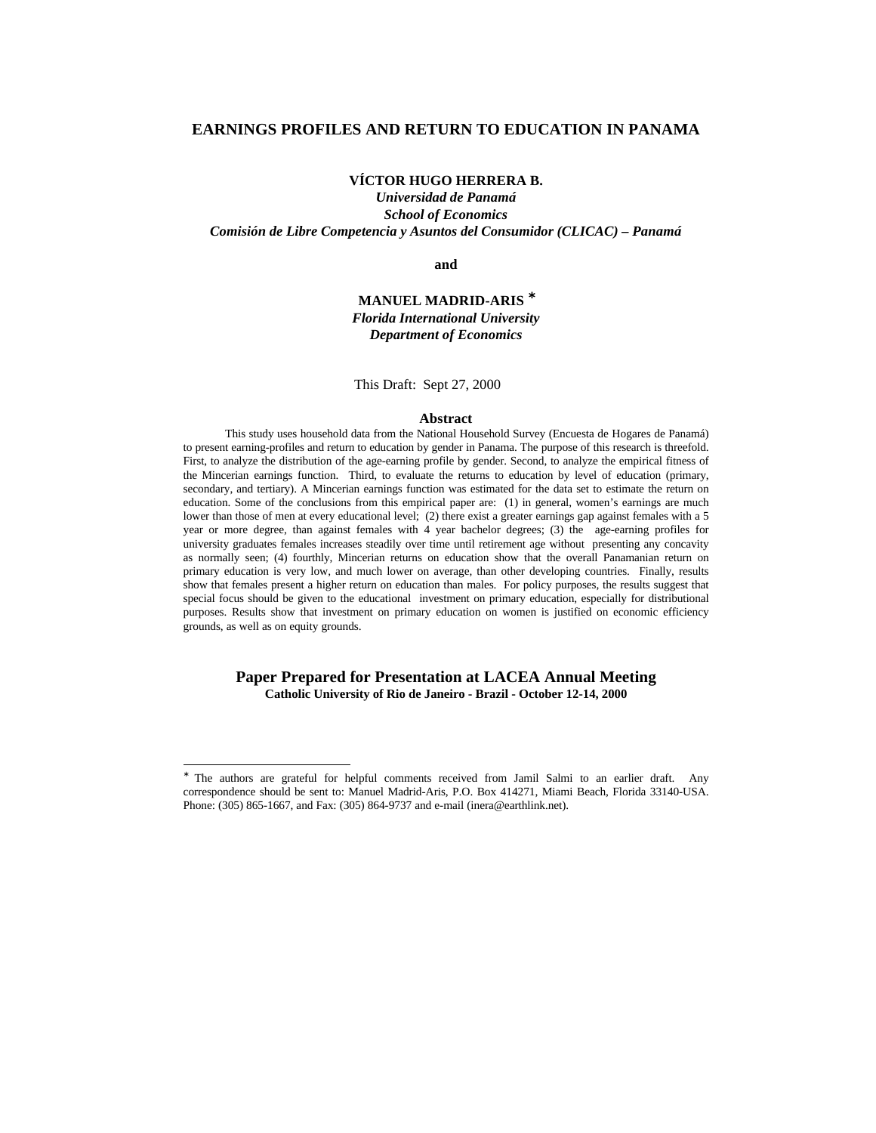# **EARNINGS PROFILES AND RETURN TO EDUCATION IN PANAMA**

# **VÍCTOR HUGO HERRERA B.**

*Universidad de Panamá School of Economics Comisión de Libre Competencia y Asuntos del Consumidor (CLICAC) – Panamá*

**and**

# **MANUEL MADRID-ARIS** <sup>∗</sup> *Florida International University Department of Economics*

This Draft: Sept 27, 2000

#### **Abstract**

This study uses household data from the National Household Survey (Encuesta de Hogares de Panamá) to present earning-profiles and return to education by gender in Panama. The purpose of this research is threefold. First, to analyze the distribution of the age-earning profile by gender. Second, to analyze the empirical fitness of the Mincerian earnings function. Third, to evaluate the returns to education by level of education (primary, secondary, and tertiary). A Mincerian earnings function was estimated for the data set to estimate the return on education. Some of the conclusions from this empirical paper are: (1) in general, women's earnings are much lower than those of men at every educational level; (2) there exist a greater earnings gap against females with a 5 year or more degree, than against females with 4 year bachelor degrees; (3) the age-earning profiles for university graduates females increases steadily over time until retirement age without presenting any concavity as normally seen; (4) fourthly, Mincerian returns on education show that the overall Panamanian return on primary education is very low, and much lower on average, than other developing countries. Finally, results show that females present a higher return on education than males. For policy purposes, the results suggest that special focus should be given to the educational investment on primary education, especially for distributional purposes. Results show that investment on primary education on women is justified on economic efficiency grounds, as well as on equity grounds.

# **Paper Prepared for Presentation at LACEA Annual Meeting Catholic University of Rio de Janeiro - Brazil - October 12-14, 2000**

<sup>∗</sup> The authors are grateful for helpful comments received from Jamil Salmi to an earlier draft. Any correspondence should be sent to: Manuel Madrid-Aris, P.O. Box 414271, Miami Beach, Florida 33140-USA. Phone: (305) 865-1667, and Fax: (305) 864-9737 and e-mail (inera@earthlink.net).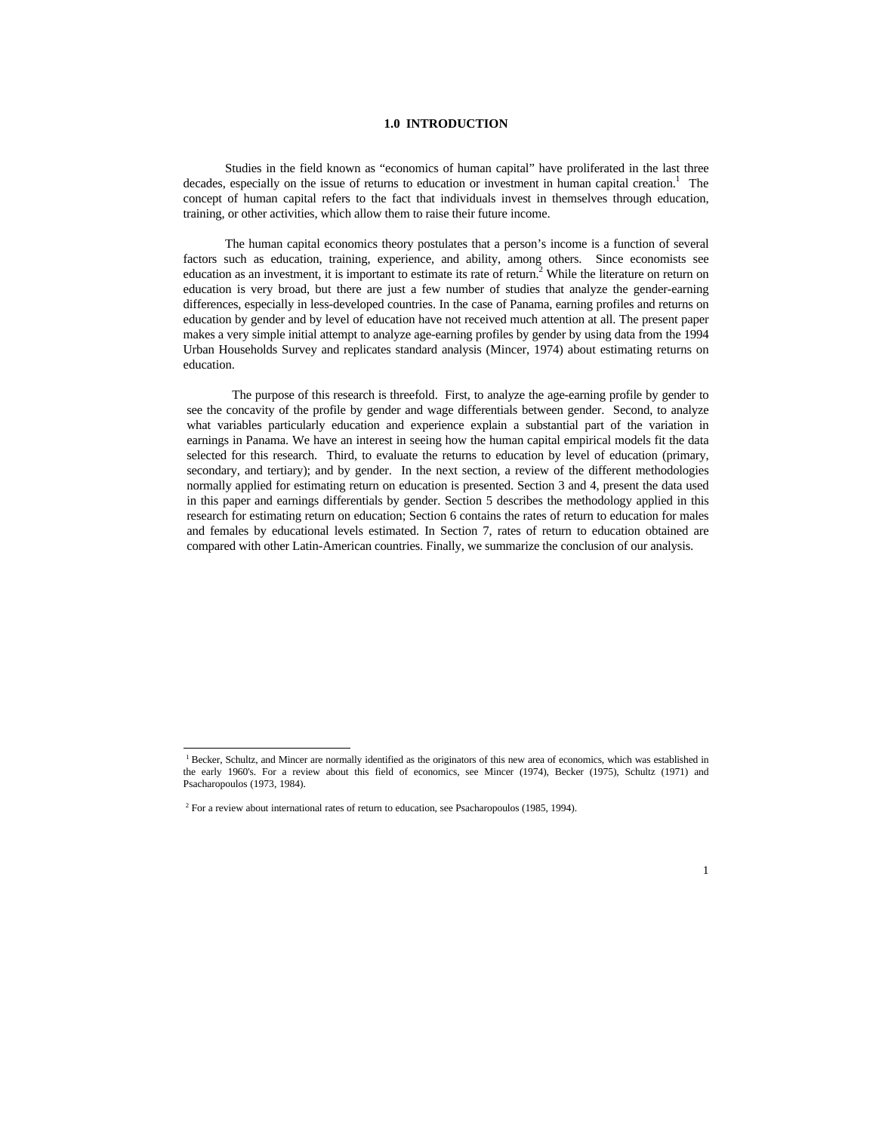### **1.0 INTRODUCTION**

Studies in the field known as "economics of human capital" have proliferated in the last three decades, especially on the issue of returns to education or investment in human capital creation.<sup>1</sup> The concept of human capital refers to the fact that individuals invest in themselves through education, training, or other activities, which allow them to raise their future income.

The human capital economics theory postulates that a person's income is a function of several factors such as education, training, experience, and ability, among others. Since economists see education as an investment, it is important to estimate its rate of return.<sup>2</sup> While the literature on return on education is very broad, but there are just a few number of studies that analyze the gender-earning differences, especially in less-developed countries. In the case of Panama, earning profiles and returns on education by gender and by level of education have not received much attention at all. The present paper makes a very simple initial attempt to analyze age-earning profiles by gender by using data from the 1994 Urban Households Survey and replicates standard analysis (Mincer, 1974) about estimating returns on education.

 The purpose of this research is threefold. First, to analyze the age-earning profile by gender to see the concavity of the profile by gender and wage differentials between gender. Second, to analyze what variables particularly education and experience explain a substantial part of the variation in earnings in Panama. We have an interest in seeing how the human capital empirical models fit the data selected for this research. Third, to evaluate the returns to education by level of education (primary, secondary, and tertiary); and by gender. In the next section, a review of the different methodologies normally applied for estimating return on education is presented. Section 3 and 4, present the data used in this paper and earnings differentials by gender. Section 5 describes the methodology applied in this research for estimating return on education; Section 6 contains the rates of return to education for males and females by educational levels estimated. In Section 7, rates of return to education obtained are compared with other Latin-American countries. Finally, we summarize the conclusion of our analysis.

<sup>&</sup>lt;sup>1</sup> Becker, Schultz, and Mincer are normally identified as the originators of this new area of economics, which was established in the early 1960's. For a review about this field of economics, see Mincer (1974), Becker (1975), Schultz (1971) and Psacharopoulos (1973, 1984).

<sup>&</sup>lt;sup>2</sup> For a review about international rates of return to education, see Psacharopoulos (1985, 1994).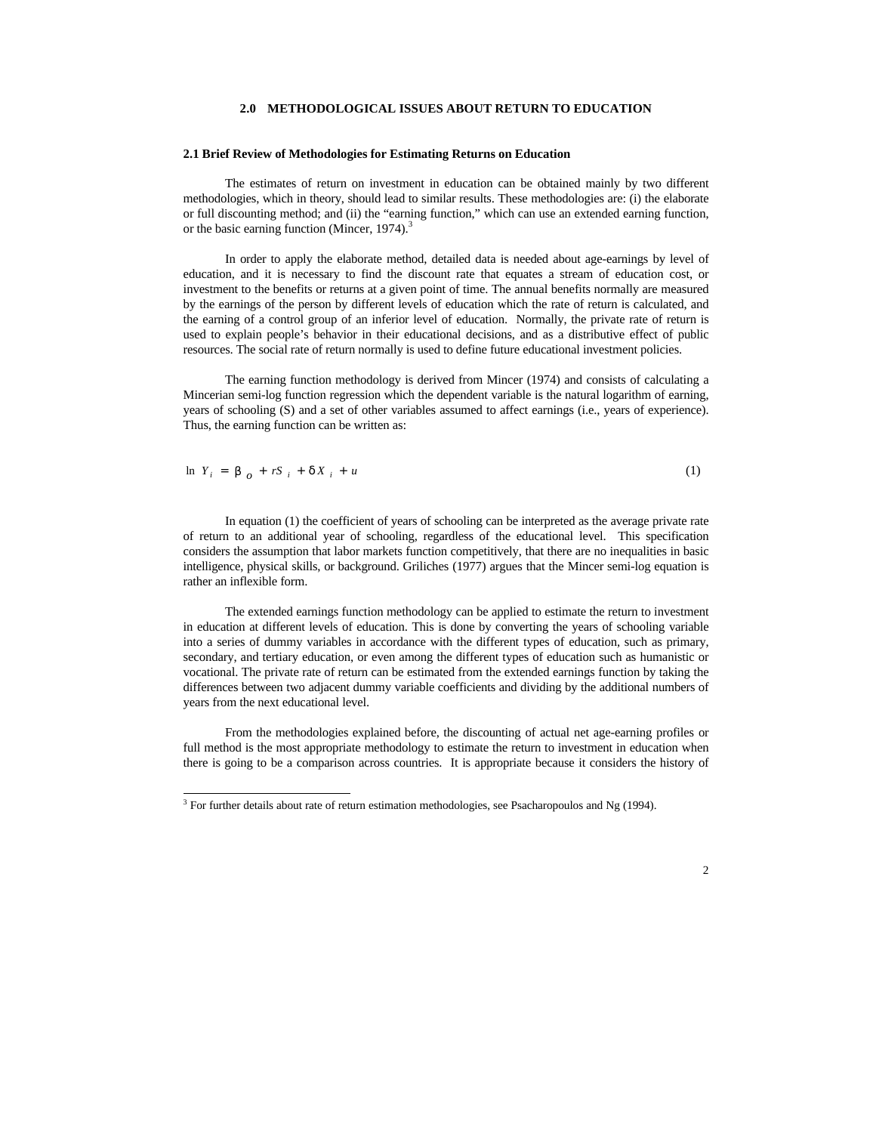### **2.0 METHODOLOGICAL ISSUES ABOUT RETURN TO EDUCATION**

#### **2.1 Brief Review of Methodologies for Estimating Returns on Education**

The estimates of return on investment in education can be obtained mainly by two different methodologies, which in theory, should lead to similar results. These methodologies are: (i) the elaborate or full discounting method; and (ii) the "earning function," which can use an extended earning function, or the basic earning function (Mincer, 1974).<sup>3</sup>

In order to apply the elaborate method, detailed data is needed about age-earnings by level of education, and it is necessary to find the discount rate that equates a stream of education cost, or investment to the benefits or returns at a given point of time. The annual benefits normally are measured by the earnings of the person by different levels of education which the rate of return is calculated, and the earning of a control group of an inferior level of education. Normally, the private rate of return is used to explain people's behavior in their educational decisions, and as a distributive effect of public resources. The social rate of return normally is used to define future educational investment policies.

The earning function methodology is derived from Mincer (1974) and consists of calculating a Mincerian semi-log function regression which the dependent variable is the natural logarithm of earning, years of schooling (S) and a set of other variables assumed to affect earnings (i.e., years of experience). Thus, the earning function can be written as:

$$
\ln Y_i = \mathbf{b}_o + rS_i + dX_i + u \tag{1}
$$

In equation (1) the coefficient of years of schooling can be interpreted as the average private rate of return to an additional year of schooling, regardless of the educational level. This specification considers the assumption that labor markets function competitively, that there are no inequalities in basic intelligence, physical skills, or background. Griliches (1977) argues that the Mincer semi-log equation is rather an inflexible form.

The extended earnings function methodology can be applied to estimate the return to investment in education at different levels of education. This is done by converting the years of schooling variable into a series of dummy variables in accordance with the different types of education, such as primary, secondary, and tertiary education, or even among the different types of education such as humanistic or vocational. The private rate of return can be estimated from the extended earnings function by taking the differences between two adjacent dummy variable coefficients and dividing by the additional numbers of years from the next educational level.

From the methodologies explained before, the discounting of actual net age-earning profiles or full method is the most appropriate methodology to estimate the return to investment in education when there is going to be a comparison across countries. It is appropriate because it considers the history of

 $3$  For further details about rate of return estimation methodologies, see Psacharopoulos and Ng (1994).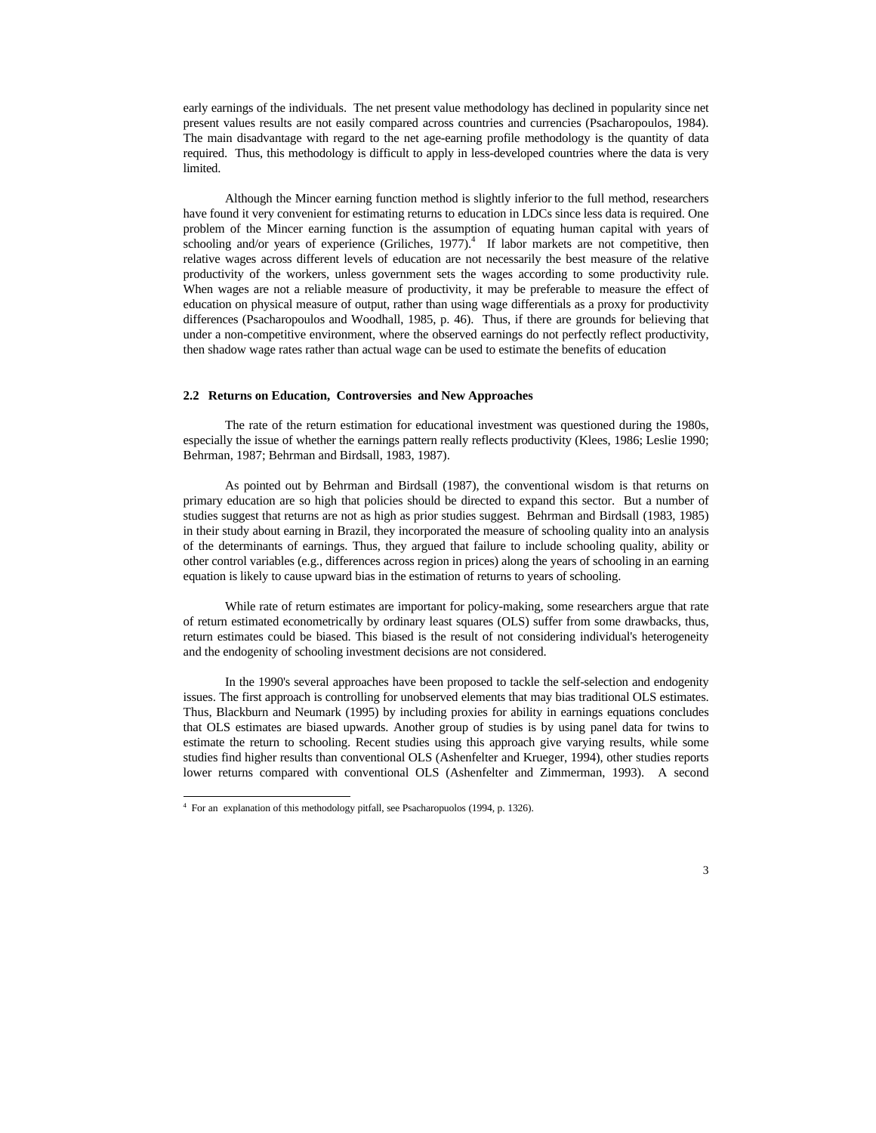early earnings of the individuals. The net present value methodology has declined in popularity since net present values results are not easily compared across countries and currencies (Psacharopoulos, 1984). The main disadvantage with regard to the net age-earning profile methodology is the quantity of data required. Thus, this methodology is difficult to apply in less-developed countries where the data is very limited.

Although the Mincer earning function method is slightly inferior to the full method, researchers have found it very convenient for estimating returns to education in LDCs since less data is required. One problem of the Mincer earning function is the assumption of equating human capital with years of schooling and/or years of experience (Griliches,  $1977$ ).<sup>4</sup> If labor markets are not competitive, then relative wages across different levels of education are not necessarily the best measure of the relative productivity of the workers, unless government sets the wages according to some productivity rule. When wages are not a reliable measure of productivity, it may be preferable to measure the effect of education on physical measure of output, rather than using wage differentials as a proxy for productivity differences (Psacharopoulos and Woodhall, 1985, p. 46). Thus, if there are grounds for believing that under a non-competitive environment, where the observed earnings do not perfectly reflect productivity, then shadow wage rates rather than actual wage can be used to estimate the benefits of education

#### **2.2 Returns on Education, Controversies and New Approaches**

The rate of the return estimation for educational investment was questioned during the 1980s, especially the issue of whether the earnings pattern really reflects productivity (Klees, 1986; Leslie 1990; Behrman, 1987; Behrman and Birdsall, 1983, 1987).

As pointed out by Behrman and Birdsall (1987), the conventional wisdom is that returns on primary education are so high that policies should be directed to expand this sector. But a number of studies suggest that returns are not as high as prior studies suggest. Behrman and Birdsall (1983, 1985) in their study about earning in Brazil, they incorporated the measure of schooling quality into an analysis of the determinants of earnings. Thus, they argued that failure to include schooling quality, ability or other control variables (e.g., differences across region in prices) along the years of schooling in an earning equation is likely to cause upward bias in the estimation of returns to years of schooling.

While rate of return estimates are important for policy-making, some researchers argue that rate of return estimated econometrically by ordinary least squares (OLS) suffer from some drawbacks, thus, return estimates could be biased. This biased is the result of not considering individual's heterogeneity and the endogenity of schooling investment decisions are not considered.

In the 1990's several approaches have been proposed to tackle the self-selection and endogenity issues. The first approach is controlling for unobserved elements that may bias traditional OLS estimates. Thus, Blackburn and Neumark (1995) by including proxies for ability in earnings equations concludes that OLS estimates are biased upwards. Another group of studies is by using panel data for twins to estimate the return to schooling. Recent studies using this approach give varying results, while some studies find higher results than conventional OLS (Ashenfelter and Krueger, 1994), other studies reports lower returns compared with conventional OLS (Ashenfelter and Zimmerman, 1993). A second

<sup>4</sup> For an explanation of this methodology pitfall, see Psacharopuolos (1994, p. 1326).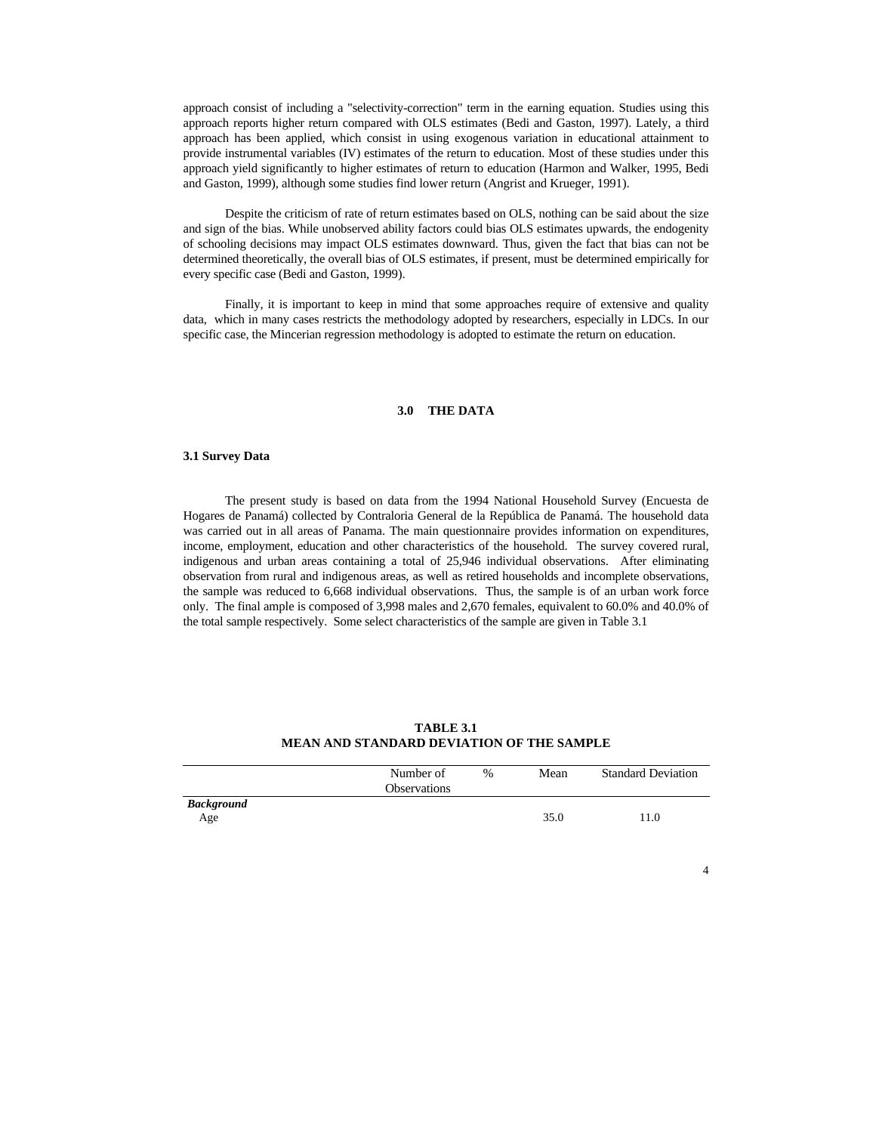approach consist of including a "selectivity-correction" term in the earning equation. Studies using this approach reports higher return compared with OLS estimates (Bedi and Gaston, 1997). Lately, a third approach has been applied, which consist in using exogenous variation in educational attainment to provide instrumental variables (IV) estimates of the return to education. Most of these studies under this approach yield significantly to higher estimates of return to education (Harmon and Walker, 1995, Bedi and Gaston, 1999), although some studies find lower return (Angrist and Krueger, 1991).

Despite the criticism of rate of return estimates based on OLS, nothing can be said about the size and sign of the bias. While unobserved ability factors could bias OLS estimates upwards, the endogenity of schooling decisions may impact OLS estimates downward. Thus, given the fact that bias can not be determined theoretically, the overall bias of OLS estimates, if present, must be determined empirically for every specific case (Bedi and Gaston, 1999).

Finally, it is important to keep in mind that some approaches require of extensive and quality data, which in many cases restricts the methodology adopted by researchers, especially in LDCs. In our specific case, the Mincerian regression methodology is adopted to estimate the return on education.

### **3.0 THE DATA**

#### **3.1 Survey Data**

The present study is based on data from the 1994 National Household Survey (Encuesta de Hogares de Panamá) collected by Contraloria General de la República de Panamá. The household data was carried out in all areas of Panama. The main questionnaire provides information on expenditures, income, employment, education and other characteristics of the household. The survey covered rural, indigenous and urban areas containing a total of 25,946 individual observations. After eliminating observation from rural and indigenous areas, as well as retired households and incomplete observations, the sample was reduced to 6,668 individual observations. Thus, the sample is of an urban work force only. The final ample is composed of 3,998 males and 2,670 females, equivalent to 60.0% and 40.0% of the total sample respectively. Some select characteristics of the sample are given in Table 3.1

| <b>TABLE 3.1</b>                          |  |
|-------------------------------------------|--|
| MEAN AND STANDARD DEVIATION OF THE SAMPLE |  |

|                          | Number of<br><b>Observations</b> | $\%$ | Mean | <b>Standard Deviation</b> |
|--------------------------|----------------------------------|------|------|---------------------------|
| <b>Background</b><br>Age |                                  |      | 35.0 | 11.0                      |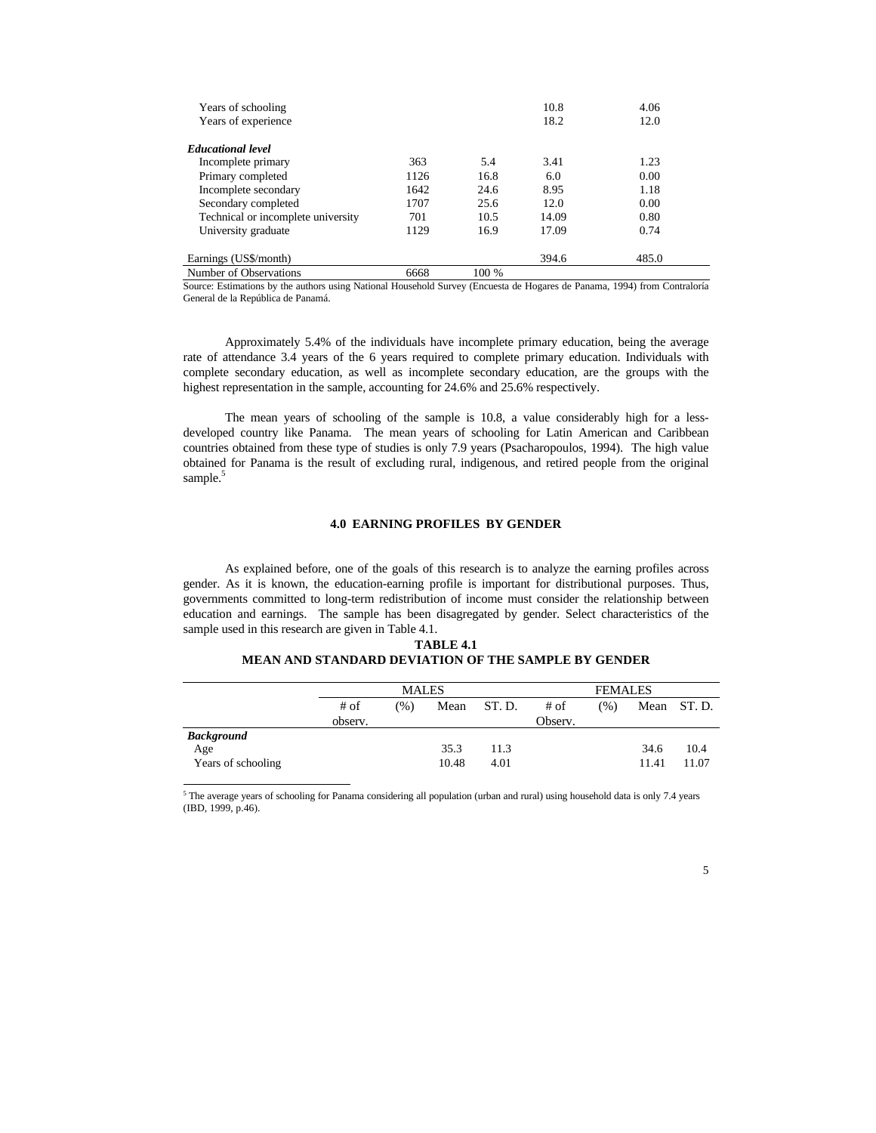| Years of schooling<br>Years of experience |      |       | 10.8<br>18.2 | 4.06<br>12.0 |
|-------------------------------------------|------|-------|--------------|--------------|
| <b>Educational level</b>                  |      |       |              |              |
| Incomplete primary                        | 363  | 5.4   | 3.41         | 1.23         |
| Primary completed                         | 1126 | 16.8  | 6.0          | 0.00         |
| Incomplete secondary                      | 1642 | 24.6  | 8.95         | 1.18         |
| Secondary completed                       | 1707 | 25.6  | 12.0         | 0.00         |
| Technical or incomplete university        | 701  | 10.5  | 14.09        | 0.80         |
| University graduate                       | 1129 | 16.9  | 17.09        | 0.74         |
| Earnings (US\$/month)                     |      |       | 394.6        | 485.0        |
| Number of Observations                    | 6668 | 100 % |              |              |

Source: Estimations by the authors using National Household Survey (Encuesta de Hogares de Panama, 1994) from Contraloría General de la República de Panamá.

Approximately 5.4% of the individuals have incomplete primary education, being the average rate of attendance 3.4 years of the 6 years required to complete primary education. Individuals with complete secondary education, as well as incomplete secondary education, are the groups with the highest representation in the sample, accounting for 24.6% and 25.6% respectively.

The mean years of schooling of the sample is 10.8, a value considerably high for a lessdeveloped country like Panama. The mean years of schooling for Latin American and Caribbean countries obtained from these type of studies is only 7.9 years (Psacharopoulos, 1994). The high value obtained for Panama is the result of excluding rural, indigenous, and retired people from the original sample.<sup>5</sup>

#### **4.0 EARNING PROFILES BY GENDER**

As explained before, one of the goals of this research is to analyze the earning profiles across gender. As it is known, the education-earning profile is important for distributional purposes. Thus, governments committed to long-term redistribution of income must consider the relationship between education and earnings. The sample has been disagregated by gender. Select characteristics of the sample used in this research are given in Table 4.1.

### **TABLE 4.1 MEAN AND STANDARD DEVIATION OF THE SAMPLE BY GENDER**

|                    |         | <b>MALES</b> |       |        | <b>FEMALES</b> |      |       |            |
|--------------------|---------|--------------|-------|--------|----------------|------|-------|------------|
|                    | # of    | (96)         | Mean  | ST. D. | # of           | (% ) |       | Mean ST.D. |
|                    | observ. |              |       |        | Observ.        |      |       |            |
| <b>Background</b>  |         |              |       |        |                |      |       |            |
| Age                |         |              | 35.3  | 11.3   |                |      | 34.6  | 10.4       |
| Years of schooling |         |              | 10.48 | 4.01   |                |      | 11.41 | 11.07      |

 $5$  The average years of schooling for Panama considering all population (urban and rural) using household data is only 7.4 years (IBD, 1999, p.46).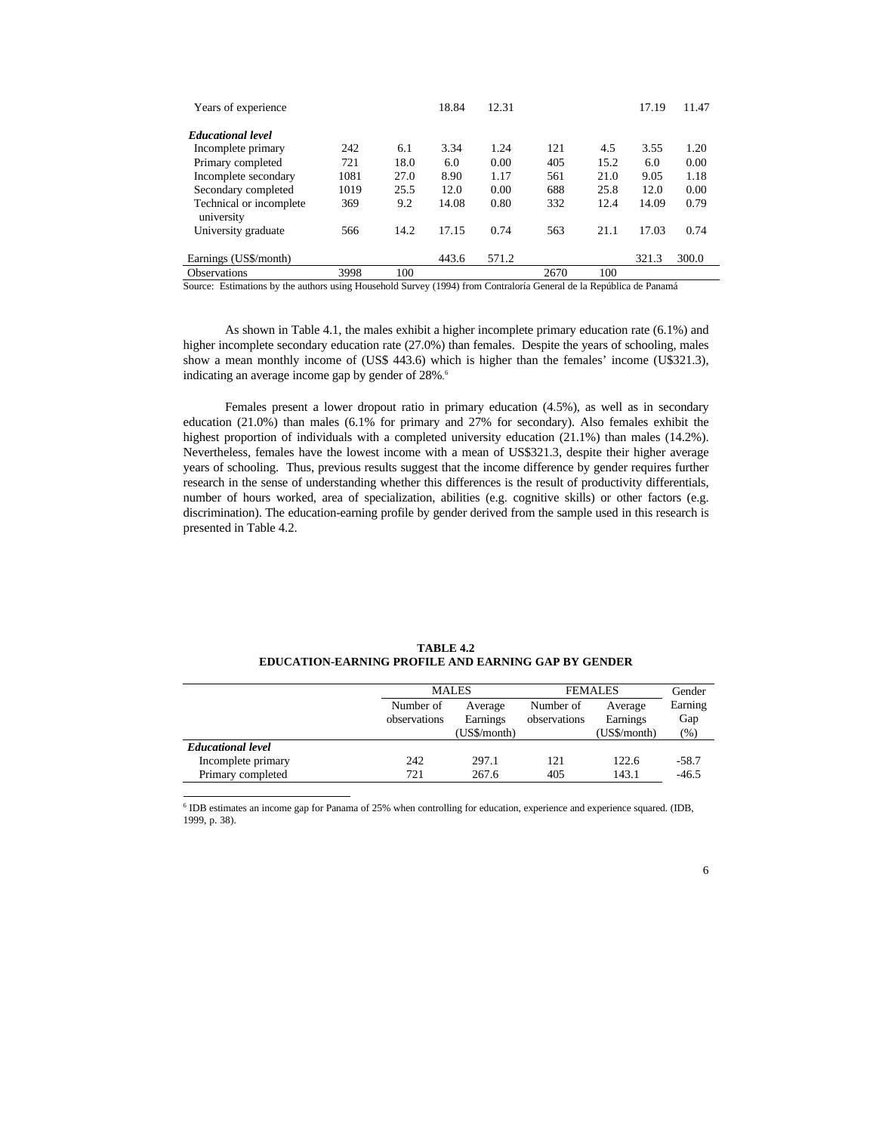| Years of experience                   |      |      | 18.84 | 12.31 |      |      | 17.19 | 11.47 |
|---------------------------------------|------|------|-------|-------|------|------|-------|-------|
| <b>Educational level</b>              |      |      |       |       |      |      |       |       |
| Incomplete primary                    | 242  | 6.1  | 3.34  | 1.24  | 121  | 4.5  | 3.55  | 1.20  |
| Primary completed                     | 721  | 18.0 | 6.0   | 0.00  | 405  | 15.2 | 6.0   | 0.00  |
| Incomplete secondary                  | 1081 | 27.0 | 8.90  | 1.17  | 561  | 21.0 | 9.05  | 1.18  |
| Secondary completed                   | 1019 | 25.5 | 12.0  | 0.00  | 688  | 25.8 | 12.0  | 0.00  |
| Technical or incomplete<br>university | 369  | 9.2  | 14.08 | 0.80  | 332  | 12.4 | 14.09 | 0.79  |
| University graduate                   | 566  | 14.2 | 17.15 | 0.74  | 563  | 21.1 | 17.03 | 0.74  |
| Earnings (US\$/month)                 |      |      | 443.6 | 571.2 |      |      | 321.3 | 300.0 |
| <b>Observations</b>                   | 3998 | 100  |       |       | 2670 | 100  |       |       |

Source: Estimations by the authors using Household Survey (1994) from Contraloría General de la República de Panamá

As shown in Table 4.1, the males exhibit a higher incomplete primary education rate (6.1%) and higher incomplete secondary education rate (27.0%) than females. Despite the years of schooling, males show a mean monthly income of (US\$ 443.6) which is higher than the females' income (U\$321.3), indicating an average income gap by gender of 28%. 6

Females present a lower dropout ratio in primary education (4.5%), as well as in secondary education (21.0%) than males (6.1% for primary and 27% for secondary). Also females exhibit the highest proportion of individuals with a completed university education (21.1%) than males (14.2%). Nevertheless, females have the lowest income with a mean of US\$321.3, despite their higher average years of schooling. Thus, previous results suggest that the income difference by gender requires further research in the sense of understanding whether this differences is the result of productivity differentials, number of hours worked, area of specialization, abilities (e.g. cognitive skills) or other factors (e.g. discrimination). The education-earning profile by gender derived from the sample used in this research is presented in Table 4.2.

|              |                   |              | Gender       |                |
|--------------|-------------------|--------------|--------------|----------------|
| Number of    | Average           | Number of    | Average      | Earning        |
| observations | Earnings          | observations | Earnings     | Gap            |
|              | $(US\$ /month $)$ |              | (US\$/month) | $\frac{9}{6}$  |
|              |                   |              |              |                |
| 242          | 297.1             | 121          | 122.6        | -58.7          |
| 721          | 267.6             | 405          | 143.1        | $-46.5$        |
|              |                   | <b>MALES</b> |              | <b>FEMALES</b> |

**TABLE 4.2 EDUCATION-EARNING PROFILE AND EARNING GAP BY GENDER**

6 IDB estimates an income gap for Panama of 25% when controlling for education, experience and experience squared. (IDB, 1999, p. 38).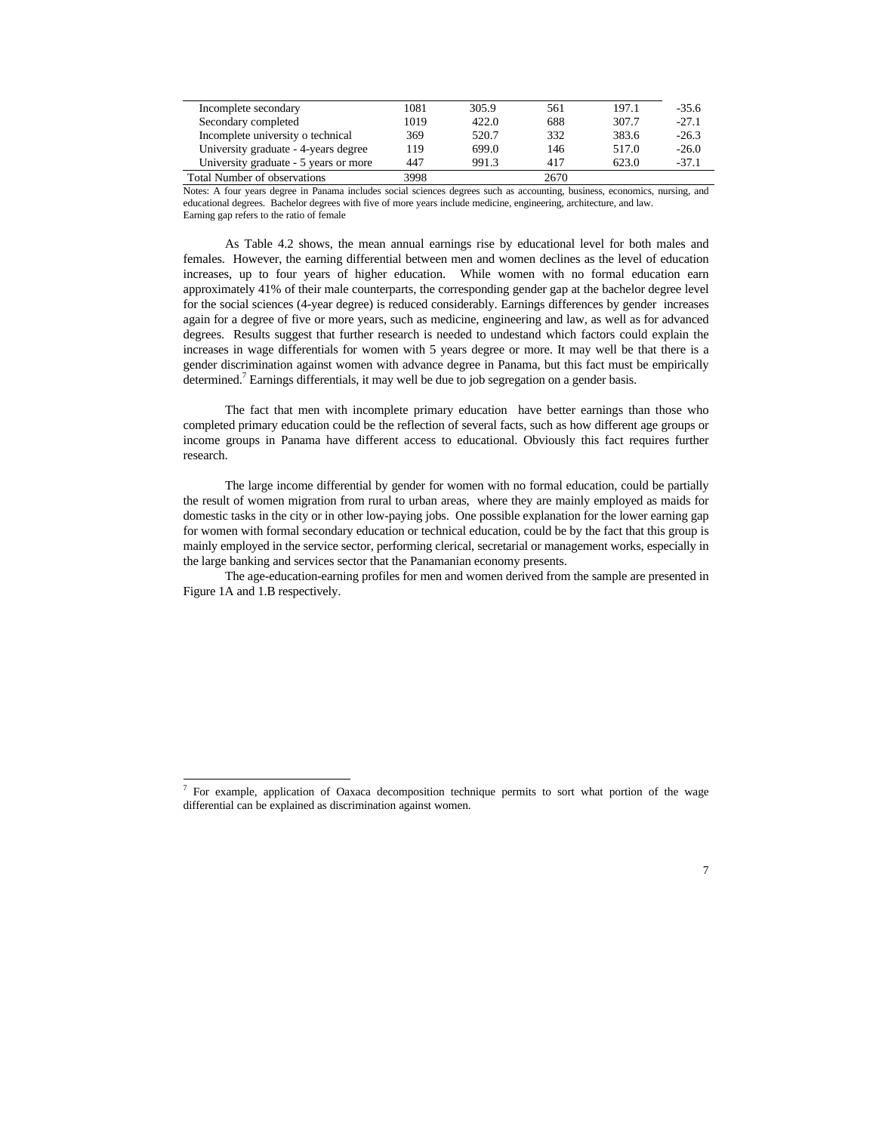| Incomplete secondary                  | 1081 | 305.9 | 561  | 197.1 | $-35.6$ |
|---------------------------------------|------|-------|------|-------|---------|
| Secondary completed                   | 1019 | 422.0 | 688  | 307.7 | $-27.1$ |
| Incomplete university o technical     | 369  | 520.7 | 332  | 383.6 | $-26.3$ |
| University graduate - 4-years degree  | 119  | 699.0 | 146  | 517.0 | $-26.0$ |
| University graduate - 5 years or more | 447  | 991.3 | 417  | 623.0 | $-37.1$ |
| <b>Total Number of observations</b>   | 3998 |       | 2670 |       |         |

Notes: A four years degree in Panama includes social sciences degrees such as accounting, business, economics, nursing, and educational degrees. Bachelor degrees with five of more years include medicine, engineering, architecture, and law. Earning gap refers to the ratio of female

As Table 4.2 shows, the mean annual earnings rise by educational level for both males and females. However, the earning differential between men and women declines as the level of education increases, up to four years of higher education. While women with no formal education earn approximately 41% of their male counterparts, the corresponding gender gap at the bachelor degree level for the social sciences (4-year degree) is reduced considerably. Earnings differences by gender increases again for a degree of five or more years, such as medicine, engineering and law, as well as for advanced degrees. Results suggest that further research is needed to undestand which factors could explain the increases in wage differentials for women with 5 years degree or more. It may well be that there is a gender discrimination against women with advance degree in Panama, but this fact must be empirically determined.<sup>7</sup> Earnings differentials, it may well be due to job segregation on a gender basis.

The fact that men with incomplete primary education have better earnings than those who completed primary education could be the reflection of several facts, such as how different age groups or income groups in Panama have different access to educational. Obviously this fact requires further research.

The large income differential by gender for women with no formal education, could be partially the result of women migration from rural to urban areas, where they are mainly employed as maids for domestic tasks in the city or in other low-paying jobs. One possible explanation for the lower earning gap for women with formal secondary education or technical education, could be by the fact that this group is mainly employed in the service sector, performing clerical, secretarial or management works, especially in the large banking and services sector that the Panamanian economy presents.

The age-education-earning profiles for men and women derived from the sample are presented in Figure 1A and 1.B respectively.

<sup>&</sup>lt;sup>7</sup> For example, application of Oaxaca decomposition technique permits to sort what portion of the wage differential can be explained as discrimination against women.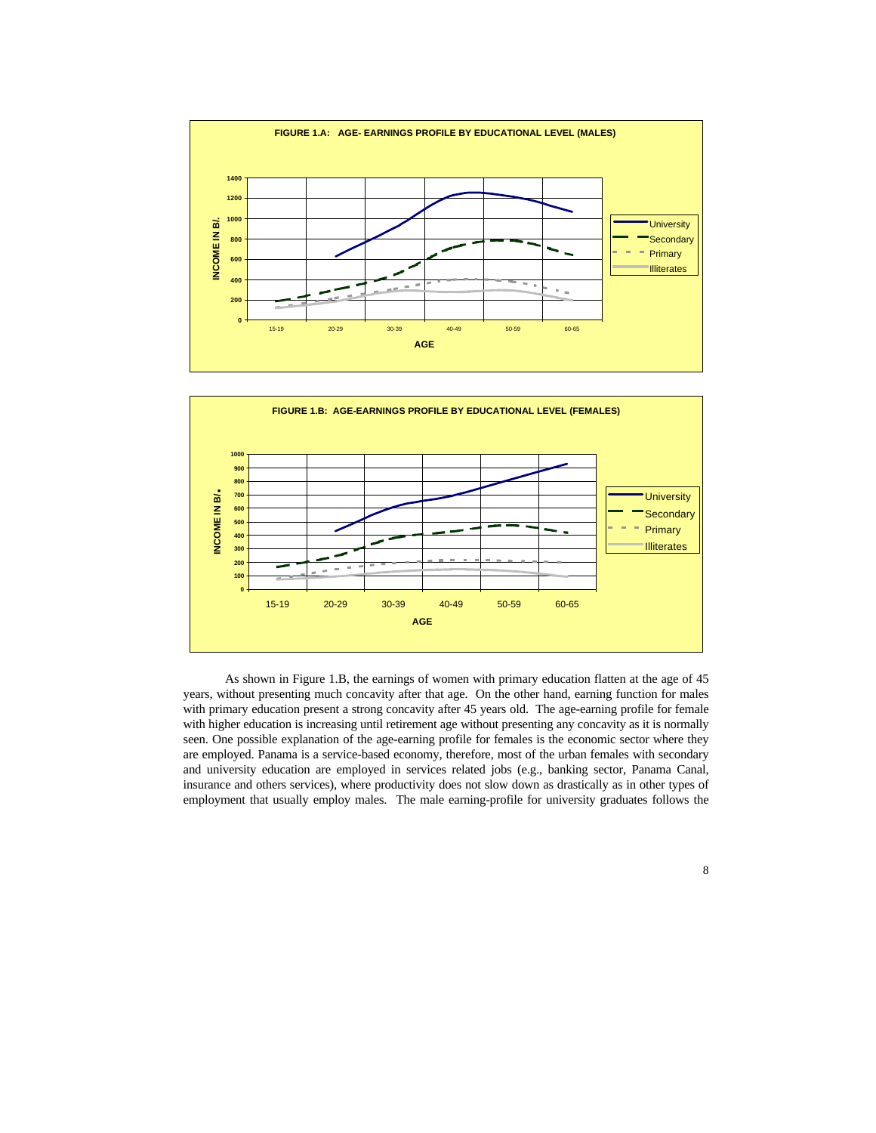



As shown in Figure 1.B, the earnings of women with primary education flatten at the age of 45 years, without presenting much concavity after that age. On the other hand, earning function for males with primary education present a strong concavity after 45 years old. The age-earning profile for female with higher education is increasing until retirement age without presenting any concavity as it is normally seen. One possible explanation of the age-earning profile for females is the economic sector where they are employed. Panama is a service-based economy, therefore, most of the urban females with secondary and university education are employed in services related jobs (e.g., banking sector, Panama Canal, insurance and others services), where productivity does not slow down as drastically as in other types of employment that usually employ males. The male earning-profile for university graduates follows the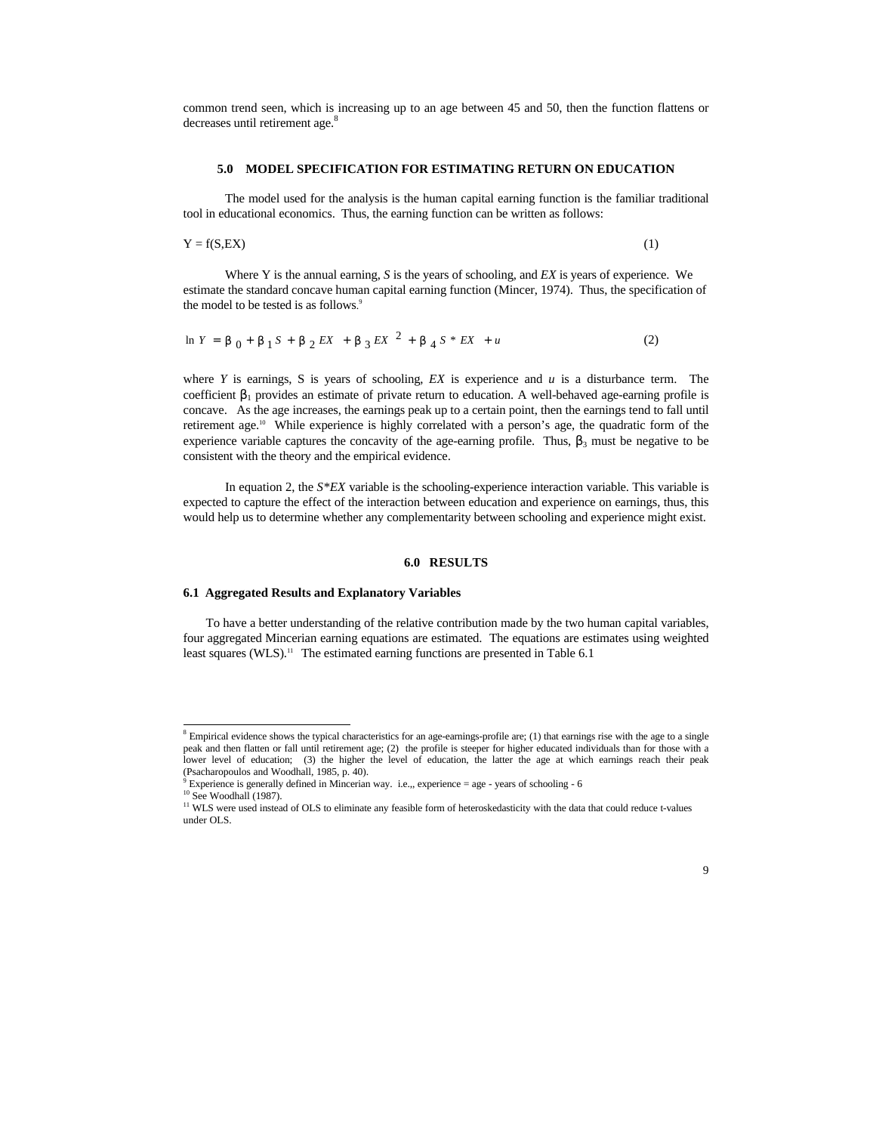common trend seen, which is increasing up to an age between 45 and 50, then the function flattens or decreases until retirement age.<sup>8</sup>

### **5.0 MODEL SPECIFICATION FOR ESTIMATING RETURN ON EDUCATION**

The model used for the analysis is the human capital earning function is the familiar traditional tool in educational economics. Thus, the earning function can be written as follows:

$$
Y = f(S, EX)
$$
 (1)

Where Y is the annual earning, *S* is the years of schooling, and *EX* is years of experience. We estimate the standard concave human capital earning function (Mincer, 1974). Thus, the specification of the model to be tested is as follows. 9

$$
\ln Y = b_0 + b_1 S + b_2 EX + b_3 EX^2 + b_4 S * EX + u \tag{2}
$$

where *Y* is earnings, *S* is years of schooling, *EX* is experience and  $u$  is a disturbance term. The coefficient  $β_1$  provides an estimate of private return to education. A well-behaved age-earning profile is concave. As the age increases, the earnings peak up to a certain point, then the earnings tend to fall until retirement age.<sup>10</sup> While experience is highly correlated with a person's age, the quadratic form of the experience variable captures the concavity of the age-earning profile. Thus,  $\beta_3$  must be negative to be consistent with the theory and the empirical evidence.

In equation 2, the  $S*EX$  variable is the schooling-experience interaction variable. This variable is expected to capture the effect of the interaction between education and experience on earnings, thus, this would help us to determine whether any complementarity between schooling and experience might exist.

### **6.0 RESULTS**

#### **6.1 Aggregated Results and Explanatory Variables**

To have a better understanding of the relative contribution made by the two human capital variables, four aggregated Mincerian earning equations are estimated. The equations are estimates using weighted least squares (WLS).<sup>11</sup> The estimated earning functions are presented in Table 6.1

 $8$  Empirical evidence shows the typical characteristics for an age-earnings-profile are; (1) that earnings rise with the age to a single peak and then flatten or fall until retirement age; (2) the profile is steeper for higher educated individuals than for those with a lower level of education; (3) the higher the level of education, the latter the age at which earnings reach their peak (Psacharopoulos and Woodhall, 1985, p. 40).

 $9$  Experience is generally defined in Mincerian way. i.e.,, experience = age - years of schooling - 6

 $10$  See Woodhall (1987).

<sup>&</sup>lt;sup>11</sup> WLS were used instead of OLS to eliminate any feasible form of heteroskedasticity with the data that could reduce t-values under OLS.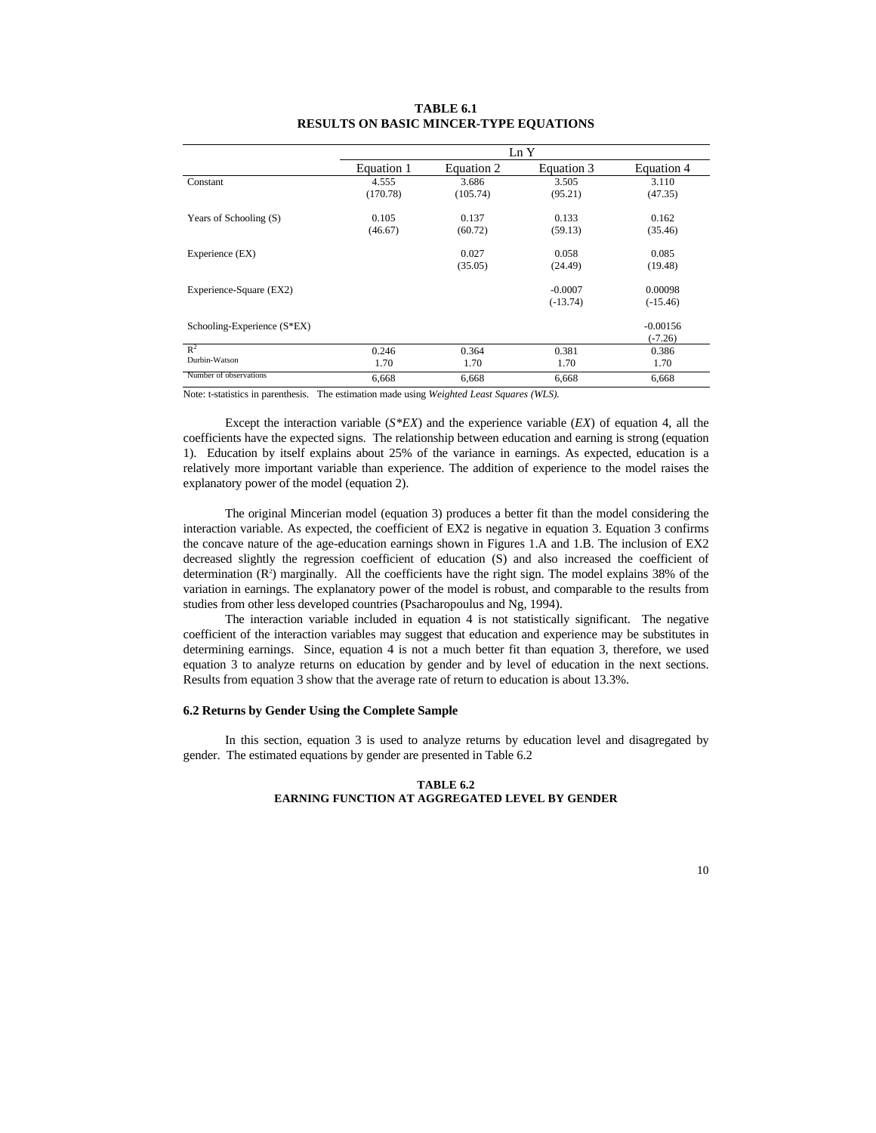|                               | Ln Y       |            |            |            |  |  |
|-------------------------------|------------|------------|------------|------------|--|--|
|                               | Equation 1 | Equation 2 | Equation 3 | Equation 4 |  |  |
| Constant                      | 4.555      | 3.686      | 3.505      | 3.110      |  |  |
|                               | (170.78)   | (105.74)   | (95.21)    | (47.35)    |  |  |
| Years of Schooling (S)        | 0.105      | 0.137      | 0.133      | 0.162      |  |  |
|                               | (46.67)    | (60.72)    | (59.13)    | (35.46)    |  |  |
| Experience (EX)               |            | 0.027      | 0.058      | 0.085      |  |  |
|                               |            | (35.05)    | (24.49)    | (19.48)    |  |  |
| Experience-Square (EX2)       |            |            | $-0.0007$  | 0.00098    |  |  |
|                               |            |            | $(-13.74)$ | $(-15.46)$ |  |  |
| Schooling-Experience $(S*EX)$ |            |            |            | $-0.00156$ |  |  |
|                               |            |            |            | $(-7.26)$  |  |  |
| $R^2$                         | 0.246      | 0.364      | 0.381      | 0.386      |  |  |
| Durbin-Watson                 | 1.70       | 1.70       | 1.70       | 1.70       |  |  |
| Number of observations        | 6,668      | 6,668      | 6,668      | 6,668      |  |  |

## **TABLE 6.1 RESULTS ON BASIC MINCER-TYPE EQUATIONS**

Note: t-statistics in parenthesis. The estimation made using *Weighted Least Squares (WLS).*

Except the interaction variable (*S\*EX*) and the experience variable (*EX*) of equation 4, all the coefficients have the expected signs. The relationship between education and earning is strong (equation 1). Education by itself explains about 25% of the variance in earnings. As expected, education is a relatively more important variable than experience. The addition of experience to the model raises the explanatory power of the model (equation 2).

The original Mincerian model (equation 3) produces a better fit than the model considering the interaction variable. As expected, the coefficient of EX2 is negative in equation 3. Equation 3 confirms the concave nature of the age-education earnings shown in Figures 1.A and 1.B. The inclusion of EX2 decreased slightly the regression coefficient of education (S) and also increased the coefficient of determination  $(R^2)$  marginally. All the coefficients have the right sign. The model explains 38% of the variation in earnings. The explanatory power of the model is robust, and comparable to the results from studies from other less developed countries (Psacharopoulus and Ng, 1994).

The interaction variable included in equation 4 is not statistically significant. The negative coefficient of the interaction variables may suggest that education and experience may be substitutes in determining earnings. Since, equation 4 is not a much better fit than equation 3, therefore, we used equation 3 to analyze returns on education by gender and by level of education in the next sections. Results from equation 3 show that the average rate of return to education is about 13.3%.

## **6.2 Returns by Gender Using the Complete Sample**

In this section, equation 3 is used to analyze returns by education level and disagregated by gender. The estimated equations by gender are presented in Table 6.2

### **TABLE 6.2 EARNING FUNCTION AT AGGREGATED LEVEL BY GENDER**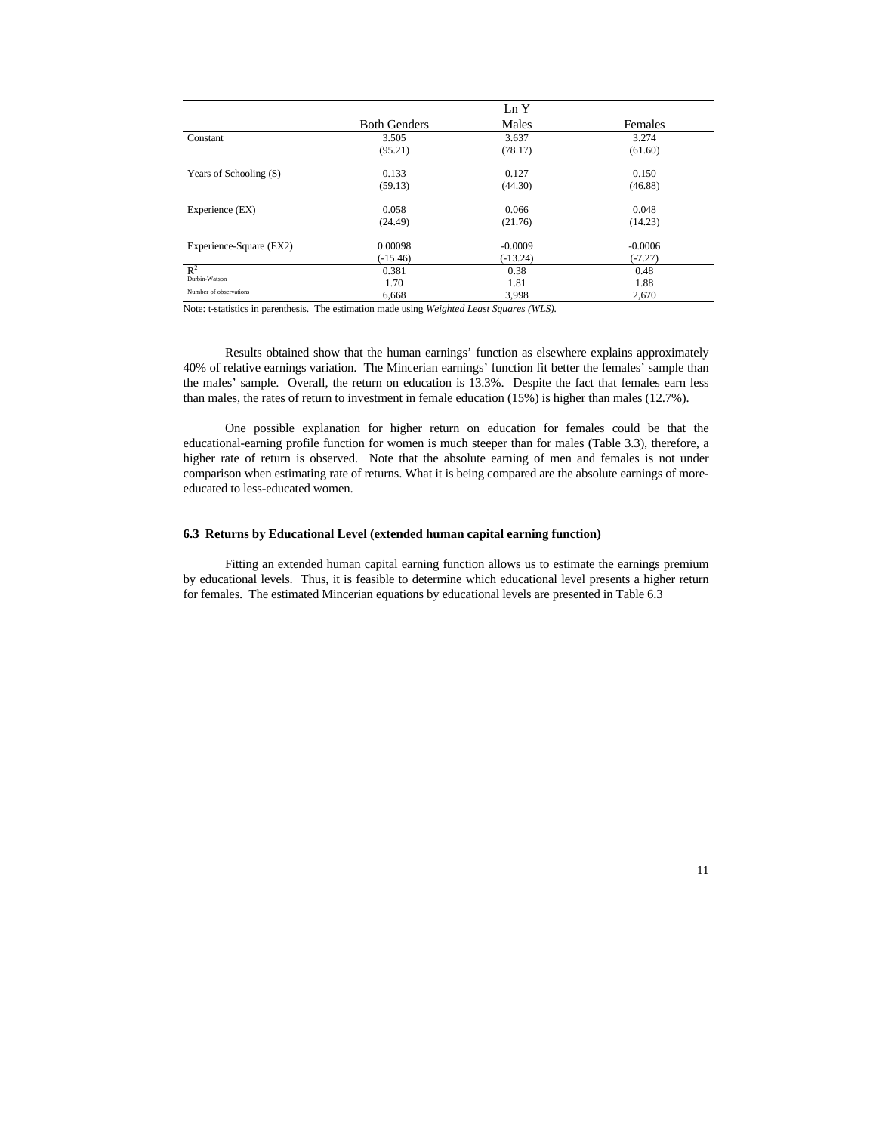|                         |                     | Ln Y       |           |
|-------------------------|---------------------|------------|-----------|
|                         | <b>Both Genders</b> | Males      | Females   |
| Constant                | 3.505               | 3.637      | 3.274     |
|                         | (95.21)             | (78.17)    | (61.60)   |
| Years of Schooling (S)  | 0.133               | 0.127      | 0.150     |
|                         | (59.13)             | (44.30)    | (46.88)   |
| Experience (EX)         | 0.058               | 0.066      | 0.048     |
|                         | (24.49)             | (21.76)    | (14.23)   |
| Experience-Square (EX2) | 0.00098             | $-0.0009$  | $-0.0006$ |
|                         | $(-15.46)$          | $(-13.24)$ | $(-7.27)$ |
| $\mathbb{R}^2$          | 0.381               | 0.38       | 0.48      |
| Durbin-Watson           | 1.70                | 1.81       | 1.88      |
| Number of observations  | 6.668               | 3,998      | 2.670     |

Note: t-statistics in parenthesis. The estimation made using *Weighted Least Squares (WLS).*

Results obtained show that the human earnings' function as elsewhere explains approximately 40% of relative earnings variation. The Mincerian earnings' function fit better the females' sample than the males' sample. Overall, the return on education is 13.3%. Despite the fact that females earn less than males, the rates of return to investment in female education (15%) is higher than males (12.7%).

One possible explanation for higher return on education for females could be that the educational-earning profile function for women is much steeper than for males (Table 3.3), therefore, a higher rate of return is observed. Note that the absolute earning of men and females is not under comparison when estimating rate of returns. What it is being compared are the absolute earnings of moreeducated to less-educated women.

## **6.3 Returns by Educational Level (extended human capital earning function)**

Fitting an extended human capital earning function allows us to estimate the earnings premium by educational levels. Thus, it is feasible to determine which educational level presents a higher return for females. The estimated Mincerian equations by educational levels are presented in Table 6.3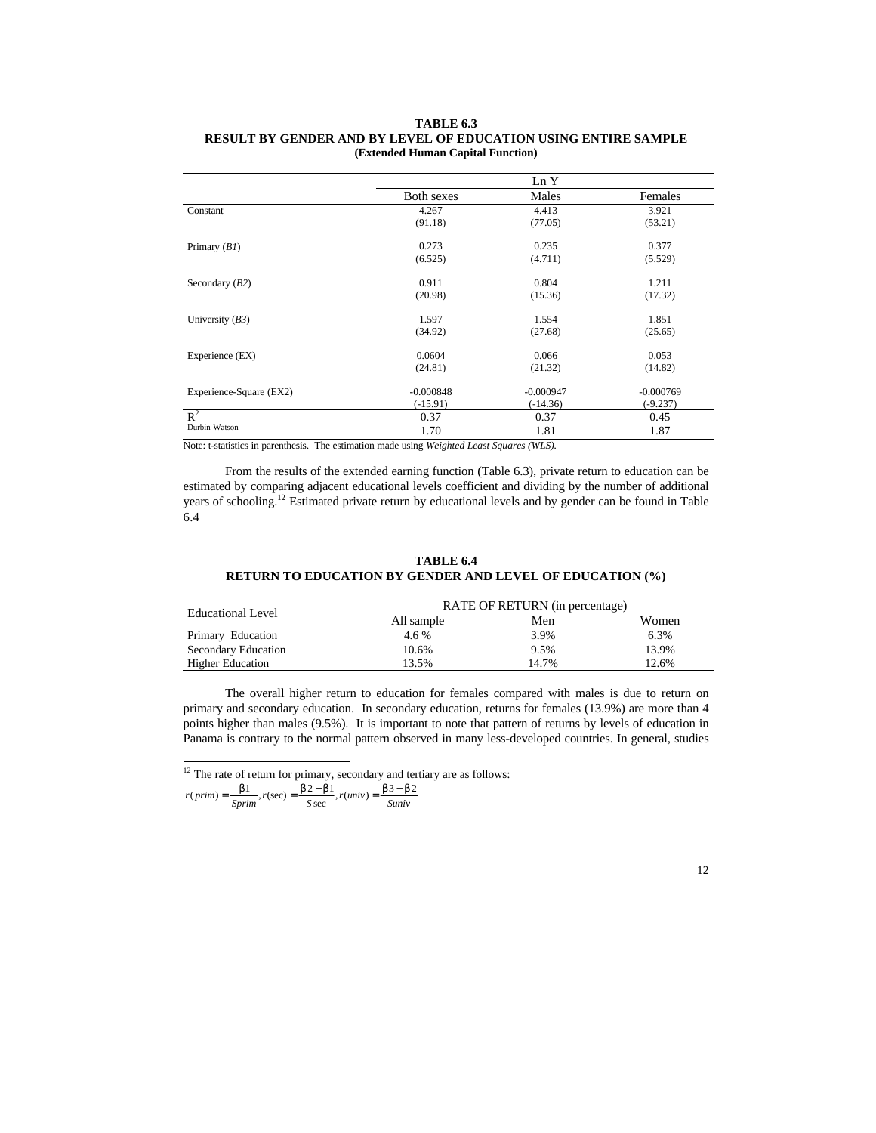### **TABLE 6.3 RESULT BY GENDER AND BY LEVEL OF EDUCATION USING ENTIRE SAMPLE (Extended Human Capital Function)**

|                         |             | Ln Y        |             |
|-------------------------|-------------|-------------|-------------|
|                         | Both sexes  | Males       | Females     |
| Constant                | 4.267       | 4.413       | 3.921       |
|                         | (91.18)     | (77.05)     | (53.21)     |
| Primary $(BI)$          | 0.273       | 0.235       | 0.377       |
|                         | (6.525)     | (4.711)     | (5.529)     |
| Secondary $(B2)$        | 0.911       | 0.804       | 1.211       |
|                         | (20.98)     | (15.36)     | (17.32)     |
| University $(B3)$       | 1.597       | 1.554       | 1.851       |
|                         | (34.92)     | (27.68)     | (25.65)     |
| Experience (EX)         | 0.0604      | 0.066       | 0.053       |
|                         | (24.81)     | (21.32)     | (14.82)     |
| Experience-Square (EX2) | $-0.000848$ | $-0.000947$ | $-0.000769$ |
|                         | $(-15.91)$  | $(-14.36)$  | $(-9.237)$  |
| $\mathbb{R}^2$          | 0.37        | 0.37        | 0.45        |
| Durbin-Watson           | 1.70        | 1.81        | 1.87        |

Note: t-statistics in parenthesis. The estimation made using *Weighted Least Squares (WLS).*

From the results of the extended earning function (Table 6.3), private return to education can be estimated by comparing adjacent educational levels coefficient and dividing by the number of additional years of schooling.<sup>12</sup> Estimated private return by educational levels and by gender can be found in Table 6.4

## **TABLE 6.4 RETURN TO EDUCATION BY GENDER AND LEVEL OF EDUCATION (%)**

| Educational Level       |            | RATE OF RETURN (in percentage) |       |  |  |  |  |
|-------------------------|------------|--------------------------------|-------|--|--|--|--|
|                         | All sample | Men                            | Women |  |  |  |  |
| Primary Education       | 4.6 %      | 3.9%                           | 6.3%  |  |  |  |  |
| Secondary Education     | 10.6%      | 9.5%                           | 13.9% |  |  |  |  |
| <b>Higher Education</b> | 13.5%      | 14.7%                          | 12.6% |  |  |  |  |

The overall higher return to education for females compared with males is due to return on primary and secondary education. In secondary education, returns for females (13.9%) are more than 4 points higher than males (9.5%). It is important to note that pattern of returns by levels of education in Panama is contrary to the normal pattern observed in many less-developed countries. In general, studies

 $r(prim) = \frac{b1}{Springr}$ ,  $r(sec) = \frac{b2 - b1}{Ssec}$ ,  $r(univ) = \frac{b3 - b2}{Suniv}$  $(prim) = \frac{b1}{a}$ ,  $r(\sec) = \frac{b2 - b1}{b}$ ,  $r(univ) = \frac{b3 - b1}{b}$ 

 $\overline{a}$ 

 $12$  The rate of return for primary, secondary and tertiary are as follows: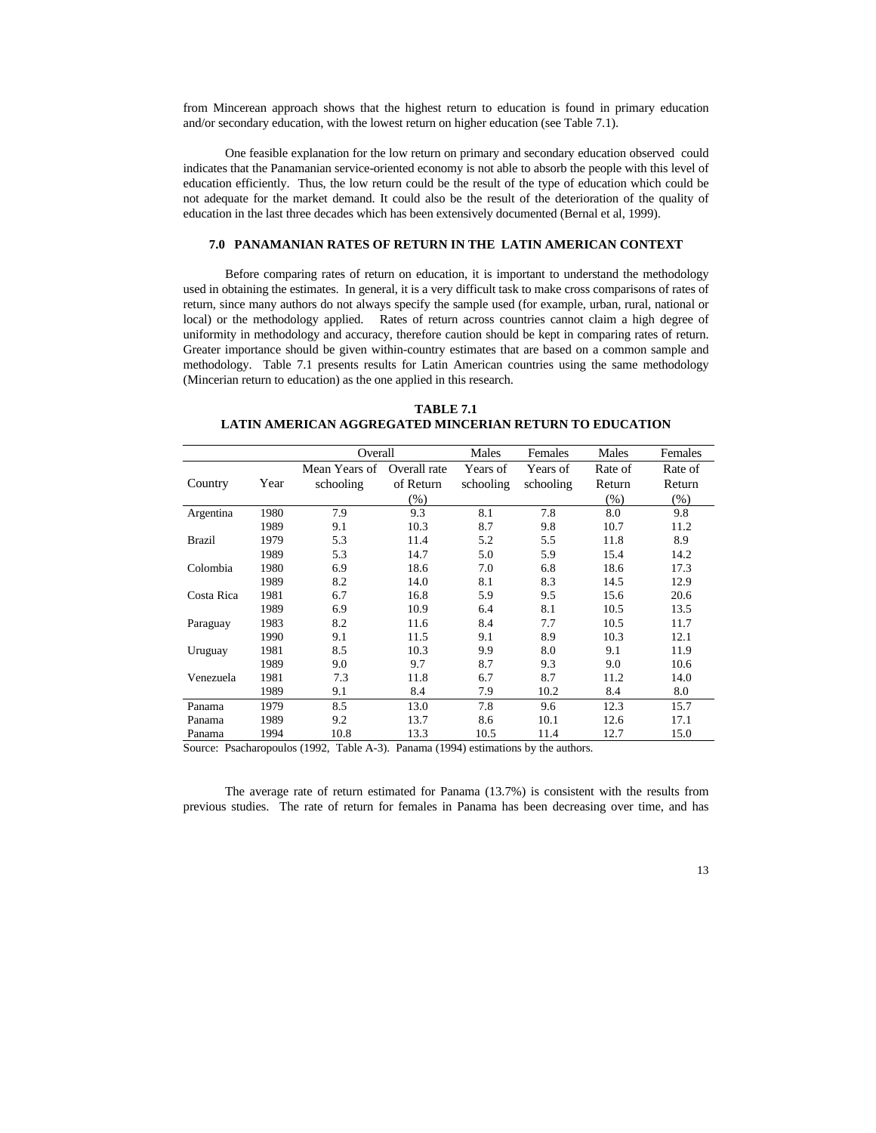from Mincerean approach shows that the highest return to education is found in primary education and/or secondary education, with the lowest return on higher education (see Table 7.1).

One feasible explanation for the low return on primary and secondary education observed could indicates that the Panamanian service-oriented economy is not able to absorb the people with this level of education efficiently. Thus, the low return could be the result of the type of education which could be not adequate for the market demand. It could also be the result of the deterioration of the quality of education in the last three decades which has been extensively documented (Bernal et al, 1999).

### **7.0 PANAMANIAN RATES OF RETURN IN THE LATIN AMERICAN CONTEXT**

Before comparing rates of return on education, it is important to understand the methodology used in obtaining the estimates. In general, it is a very difficult task to make cross comparisons of rates of return, since many authors do not always specify the sample used (for example, urban, rural, national or local) or the methodology applied. Rates of return across countries cannot claim a high degree of uniformity in methodology and accuracy, therefore caution should be kept in comparing rates of return. Greater importance should be given within-country estimates that are based on a common sample and methodology. Table 7.1 presents results for Latin American countries using the same methodology (Mincerian return to education) as the one applied in this research.

**TABLE 7.1 LATIN AMERICAN AGGREGATED MINCERIAN RETURN TO EDUCATION**

|               |      | Overall       |              | Males     | Females   | Males   | Females |
|---------------|------|---------------|--------------|-----------|-----------|---------|---------|
|               |      | Mean Years of | Overall rate | Years of  | Years of  | Rate of | Rate of |
| Country       | Year | schooling     | of Return    | schooling | schooling | Return  | Return  |
|               |      |               | $(\%)$       |           |           | $(\%)$  | $(\% )$ |
| Argentina     | 1980 | 7.9           | 9.3          | 8.1       | 7.8       | 8.0     | 9.8     |
|               | 1989 | 9.1           | 10.3         | 8.7       | 9.8       | 10.7    | 11.2    |
| <b>Brazil</b> | 1979 | 5.3           | 11.4         | 5.2       | 5.5       | 11.8    | 8.9     |
|               | 1989 | 5.3           | 14.7         | 5.0       | 5.9       | 15.4    | 14.2    |
| Colombia      | 1980 | 6.9           | 18.6         | 7.0       | 6.8       | 18.6    | 17.3    |
|               | 1989 | 8.2           | 14.0         | 8.1       | 8.3       | 14.5    | 12.9    |
| Costa Rica    | 1981 | 6.7           | 16.8         | 5.9       | 9.5       | 15.6    | 20.6    |
|               | 1989 | 6.9           | 10.9         | 6.4       | 8.1       | 10.5    | 13.5    |
| Paraguay      | 1983 | 8.2           | 11.6         | 8.4       | 7.7       | 10.5    | 11.7    |
|               | 1990 | 9.1           | 11.5         | 9.1       | 8.9       | 10.3    | 12.1    |
| Uruguay       | 1981 | 8.5           | 10.3         | 9.9       | 8.0       | 9.1     | 11.9    |
|               | 1989 | 9.0           | 9.7          | 8.7       | 9.3       | 9.0     | 10.6    |
| Venezuela     | 1981 | 7.3           | 11.8         | 6.7       | 8.7       | 11.2    | 14.0    |
|               | 1989 | 9.1           | 8.4          | 7.9       | 10.2      | 8.4     | 8.0     |
| Panama        | 1979 | 8.5           | 13.0         | 7.8       | 9.6       | 12.3    | 15.7    |
| Panama        | 1989 | 9.2           | 13.7         | 8.6       | 10.1      | 12.6    | 17.1    |
| Panama        | 1994 | 10.8          | 13.3         | 10.5      | 11.4      | 12.7    | 15.0    |

Source: Psacharopoulos (1992, Table A-3). Panama (1994) estimations by the authors.

The average rate of return estimated for Panama (13.7%) is consistent with the results from previous studies. The rate of return for females in Panama has been decreasing over time, and has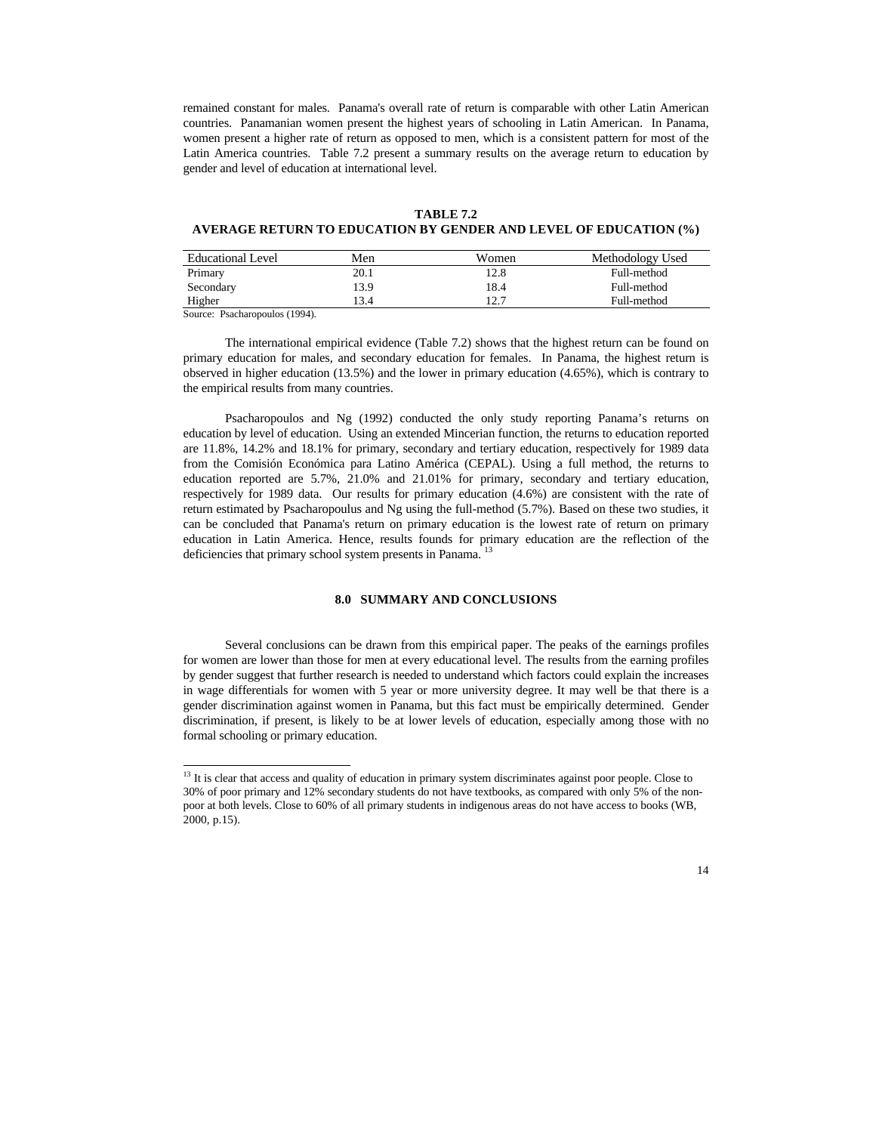remained constant for males. Panama's overall rate of return is comparable with other Latin American countries. Panamanian women present the highest years of schooling in Latin American. In Panama, women present a higher rate of return as opposed to men, which is a consistent pattern for most of the Latin America countries. Table 7.2 present a summary results on the average return to education by gender and level of education at international level.

#### **TABLE 7.2**

## **AVERAGE RETURN TO EDUCATION BY GENDER AND LEVEL OF EDUCATION (%)**

| <b>Educational Level</b>               | Men  | Women | Methodology Used |
|----------------------------------------|------|-------|------------------|
| Primary                                | 20.1 | 12.8  | Full-method      |
| Secondary                              | 13.9 | 18.4  | Full-method      |
| Higher                                 | 13.4 | 12.7  | Full-method      |
| <b>1400 FM</b><br>$\sim$ $\sim$ $\sim$ |      |       |                  |

Source: Psacharopoulos (1994).

 $\overline{a}$ 

The international empirical evidence (Table 7.2) shows that the highest return can be found on primary education for males, and secondary education for females. In Panama, the highest return is observed in higher education (13.5%) and the lower in primary education (4.65%), which is contrary to the empirical results from many countries.

Psacharopoulos and Ng (1992) conducted the only study reporting Panama's returns on education by level of education. Using an extended Mincerian function, the returns to education reported are 11.8%, 14.2% and 18.1% for primary, secondary and tertiary education, respectively for 1989 data from the Comisión Económica para Latino América (CEPAL). Using a full method, the returns to education reported are 5.7%, 21.0% and 21.01% for primary, secondary and tertiary education, respectively for 1989 data. Our results for primary education (4.6%) are consistent with the rate of return estimated by Psacharopoulus and Ng using the full-method (5.7%). Based on these two studies, it can be concluded that Panama's return on primary education is the lowest rate of return on primary education in Latin America. Hence, results founds for primary education are the reflection of the deficiencies that primary school system presents in Panama.

### **8.0 SUMMARY AND CONCLUSIONS**

Several conclusions can be drawn from this empirical paper. The peaks of the earnings profiles for women are lower than those for men at every educational level. The results from the earning profiles by gender suggest that further research is needed to understand which factors could explain the increases in wage differentials for women with 5 year or more university degree. It may well be that there is a gender discrimination against women in Panama, but this fact must be empirically determined. Gender discrimination, if present, is likely to be at lower levels of education, especially among those with no formal schooling or primary education.

 $13$  It is clear that access and quality of education in primary system discriminates against poor people. Close to 30% of poor primary and 12% secondary students do not have textbooks, as compared with only 5% of the nonpoor at both levels. Close to 60% of all primary students in indigenous areas do not have access to books (WB, 2000, p.15).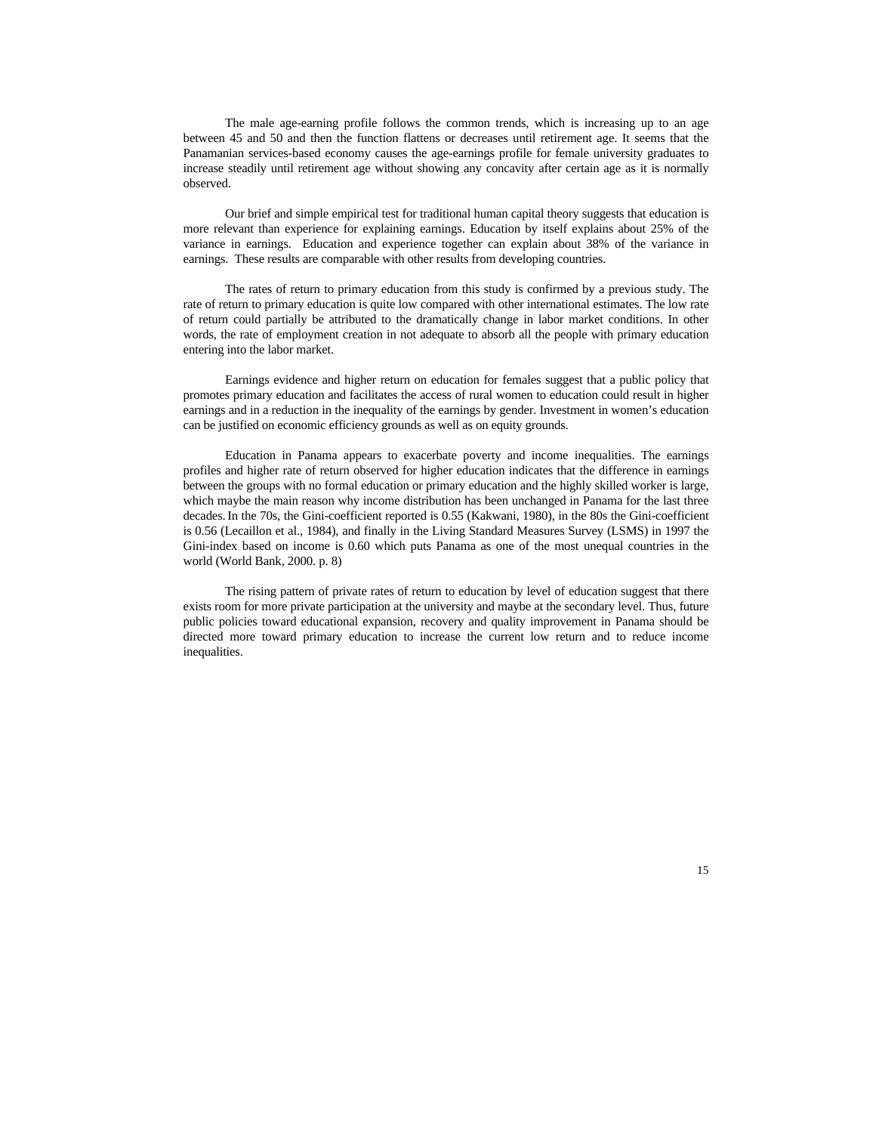The male age-earning profile follows the common trends, which is increasing up to an age between 45 and 50 and then the function flattens or decreases until retirement age. It seems that the Panamanian services-based economy causes the age-earnings profile for female university graduates to increase steadily until retirement age without showing any concavity after certain age as it is normally observed.

Our brief and simple empirical test for traditional human capital theory suggests that education is more relevant than experience for explaining earnings. Education by itself explains about 25% of the variance in earnings. Education and experience together can explain about 38% of the variance in earnings. These results are comparable with other results from developing countries.

The rates of return to primary education from this study is confirmed by a previous study. The rate of return to primary education is quite low compared with other international estimates. The low rate of return could partially be attributed to the dramatically change in labor market conditions. In other words, the rate of employment creation in not adequate to absorb all the people with primary education entering into the labor market.

Earnings evidence and higher return on education for females suggest that a public policy that promotes primary education and facilitates the access of rural women to education could result in higher earnings and in a reduction in the inequality of the earnings by gender. Investment in women's education can be justified on economic efficiency grounds as well as on equity grounds.

Education in Panama appears to exacerbate poverty and income inequalities. The earnings profiles and higher rate of return observed for higher education indicates that the difference in earnings between the groups with no formal education or primary education and the highly skilled worker is large, which maybe the main reason why income distribution has been unchanged in Panama for the last three decades.In the 70s, the Gini-coefficient reported is 0.55 (Kakwani, 1980), in the 80s the Gini-coefficient is 0.56 (Lecaillon et al., 1984), and finally in the Living Standard Measures Survey (LSMS) in 1997 the Gini-index based on income is 0.60 which puts Panama as one of the most unequal countries in the world (World Bank, 2000. p. 8)

The rising pattern of private rates of return to education by level of education suggest that there exists room for more private participation at the university and maybe at the secondary level. Thus, future public policies toward educational expansion, recovery and quality improvement in Panama should be directed more toward primary education to increase the current low return and to reduce income inequalities.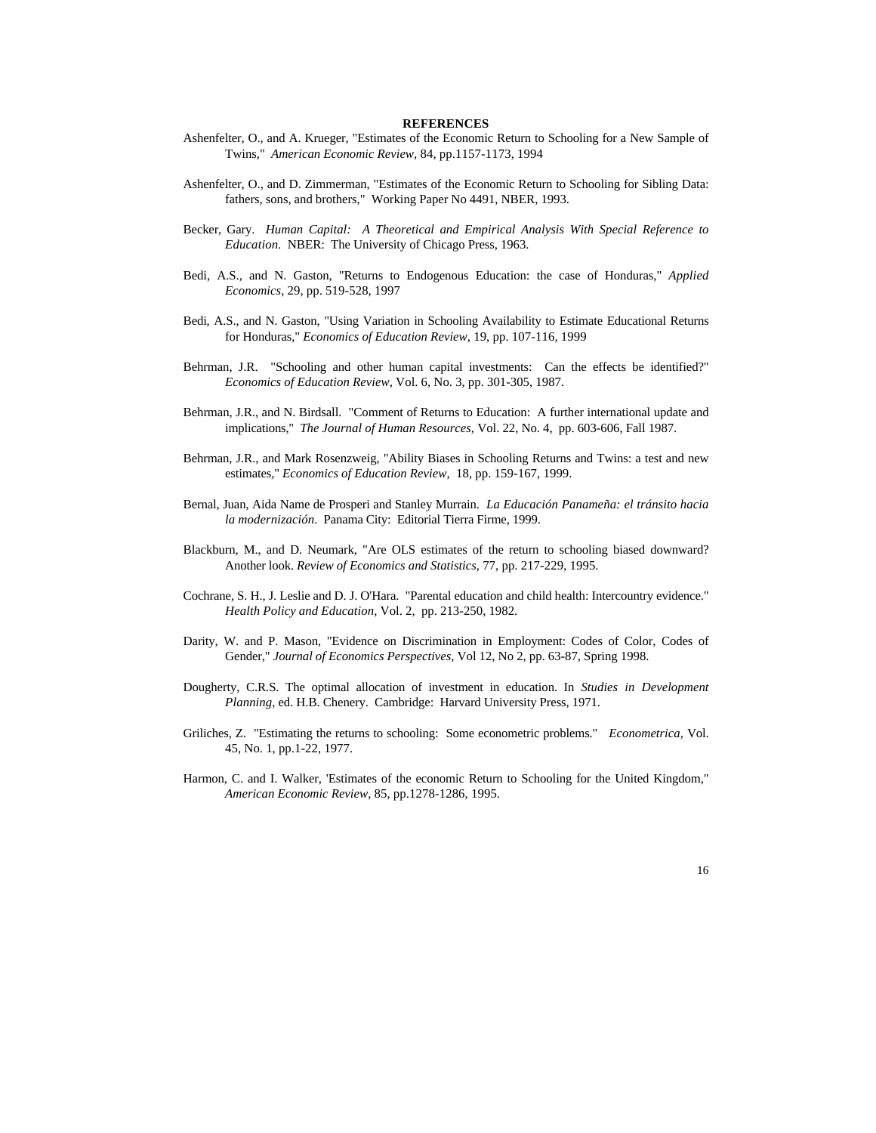#### **REFERENCES**

- Ashenfelter, O., and A. Krueger, "Estimates of the Economic Return to Schooling for a New Sample of Twins," *American Economic Review*, 84, pp.1157-1173, 1994
- Ashenfelter, O., and D. Zimmerman, "Estimates of the Economic Return to Schooling for Sibling Data: fathers, sons, and brothers," Working Paper No 4491, NBER, 1993.
- Becker, Gary. *Human Capital: A Theoretical and Empirical Analysis With Special Reference to Education.* NBER: The University of Chicago Press, 1963.
- Bedi, A.S., and N. Gaston, "Returns to Endogenous Education: the case of Honduras," *Applied Economics*, 29, pp. 519-528, 1997
- Bedi, A.S., and N. Gaston, "Using Variation in Schooling Availability to Estimate Educational Returns for Honduras," *Economics of Education Review,* 19, pp. 107-116, 1999
- Behrman, J.R. "Schooling and other human capital investments: Can the effects be identified?" *Economics of Education Review*, Vol. 6, No. 3, pp. 301-305, 1987.
- Behrman, J.R., and N. Birdsall. "Comment of Returns to Education: A further international update and implications," *The Journal of Human Resources,* Vol. 22, No. 4, pp. 603-606, Fall 1987.
- Behrman, J.R., and Mark Rosenzweig, "Ability Biases in Schooling Returns and Twins: a test and new estimates," *Economics of Education Review,* 18, pp. 159-167, 1999.
- Bernal, Juan, Aida Name de Prosperi and Stanley Murrain. *La Educación Panameña: el tránsito hacia la modernización*. Panama City: Editorial Tierra Firme, 1999.
- Blackburn, M., and D. Neumark, "Are OLS estimates of the return to schooling biased downward? Another look. *Review of Economics and Statistics*, 77, pp. 217-229, 1995.
- Cochrane, S. H., J. Leslie and D. J. O'Hara. "Parental education and child health: Intercountry evidence." *Health Policy and Education,* Vol. 2, pp. 213-250, 1982.
- Darity, W. and P. Mason, "Evidence on Discrimination in Employment: Codes of Color, Codes of Gender," *Journal of Economics Perspectives*, Vol 12, No 2, pp. 63-87, Spring 1998.
- Dougherty, C.R.S. The optimal allocation of investment in education. In *Studies in Development Planning*, ed. H.B. Chenery. Cambridge: Harvard University Press, 1971.
- Griliches, Z. "Estimating the returns to schooling: Some econometric problems." *Econometrica,* Vol. 45, No. 1, pp.1-22, 1977.
- Harmon, C. and I. Walker, 'Estimates of the economic Return to Schooling for the United Kingdom," *American Economic Review*, 85, pp.1278-1286, 1995.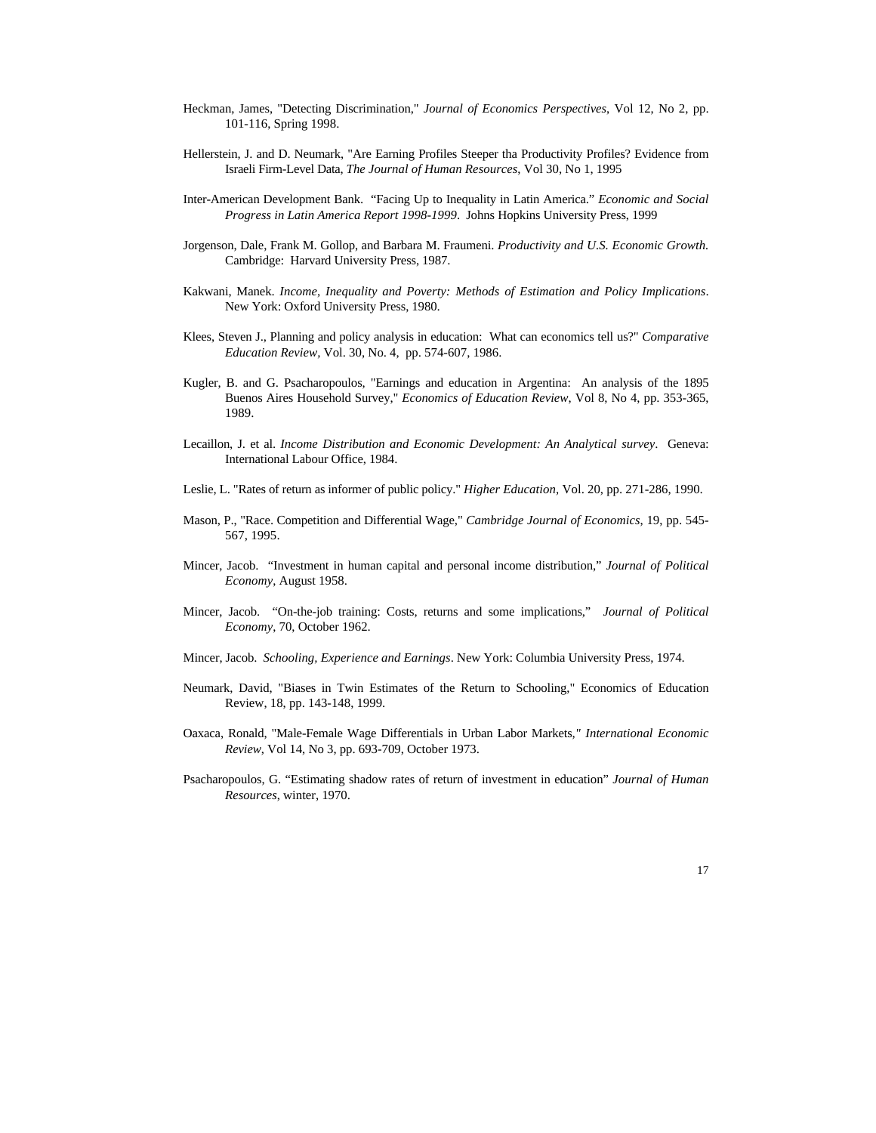- Heckman, James, "Detecting Discrimination," *Journal of Economics Perspectives*, Vol 12, No 2, pp. 101-116, Spring 1998.
- Hellerstein, J. and D. Neumark, "Are Earning Profiles Steeper tha Productivity Profiles? Evidence from Israeli Firm-Level Data, *The Journal of Human Resources*, Vol 30, No 1, 1995
- Inter-American Development Bank. "Facing Up to Inequality in Latin America." *Economic and Social Progress in Latin America Report 1998-1999*. Johns Hopkins University Press, 1999
- Jorgenson, Dale, Frank M. Gollop, and Barbara M. Fraumeni. *Productivity and U.S. Economic Growth.* Cambridge: Harvard University Press, 1987.
- Kakwani, Manek. *Income, Inequality and Poverty: Methods of Estimation and Policy Implications*. New York: Oxford University Press, 1980.
- Klees, Steven J., Planning and policy analysis in education: What can economics tell us?" *Comparative Education Review,* Vol. 30, No. 4, pp. 574-607, 1986.
- Kugler, B. and G. Psacharopoulos, "Earnings and education in Argentina: An analysis of the 1895 Buenos Aires Household Survey," *Economics of Education Review*, Vol 8, No 4, pp. 353-365, 1989.
- Lecaillon, J. et al. *Income Distribution and Economic Development: An Analytical survey*. Geneva: International Labour Office, 1984.
- Leslie, L. "Rates of return as informer of public policy." *Higher Education,* Vol. 20, pp. 271-286, 1990.
- Mason, P., "Race. Competition and Differential Wage," *Cambridge Journal of Economics*, 19, pp. 545- 567, 1995.
- Mincer, Jacob. "Investment in human capital and personal income distribution," *Journal of Political Economy*, August 1958.
- Mincer, Jacob. "On-the-job training: Costs, returns and some implications," *Journal of Political Economy*, 70, October 1962.
- Mincer, Jacob. *Schooling, Experience and Earnings*. New York: Columbia University Press, 1974.
- Neumark, David, "Biases in Twin Estimates of the Return to Schooling," Economics of Education Review, 18, pp. 143-148, 1999.
- Oaxaca, Ronald, "Male-Female Wage Differentials in Urban Labor Markets*," International Economic Review*, Vol 14, No 3, pp. 693-709, October 1973.
- Psacharopoulos, G. "Estimating shadow rates of return of investment in education" *Journal of Human Resources*, winter, 1970.